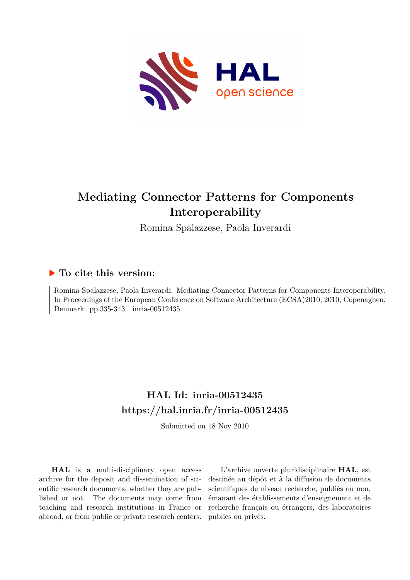

# **Mediating Connector Patterns for Components Interoperability**

Romina Spalazzese, Paola Inverardi

### **To cite this version:**

Romina Spalazzese, Paola Inverardi. Mediating Connector Patterns for Components Interoperability. In Proceedings of the European Conference on Software Architecture (ECSA)2010, 2010, Copenaghen, Denmark. pp.335-343. inria-00512435

## **HAL Id: inria-00512435 <https://hal.inria.fr/inria-00512435>**

Submitted on 18 Nov 2010

**HAL** is a multi-disciplinary open access archive for the deposit and dissemination of scientific research documents, whether they are published or not. The documents may come from teaching and research institutions in France or abroad, or from public or private research centers.

L'archive ouverte pluridisciplinaire **HAL**, est destinée au dépôt et à la diffusion de documents scientifiques de niveau recherche, publiés ou non, émanant des établissements d'enseignement et de recherche français ou étrangers, des laboratoires publics ou privés.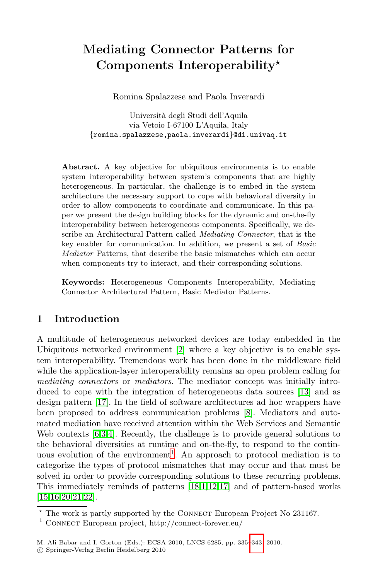## **Mediating Connector Patterns for Components Interoperability***-*

Romina Spalazzese and Paola Inverardi

Università degli Studi dell'Aquila via Vetoio I-67100 L'Aquila, Italy *{*romina.spalazzese,paola.inverardi*}*@di.univaq.it

**Abstract.** A key objective for ubiquitous environments is to enable system interoperability between system's components that are highly heterogeneous. In particular, the challenge is to embed in the system architecture the necessary support to cope with behavioral diversity in order to allow components to coordinate and communicate. In this paper we present the design building blocks for the dynamic and on-the-fly interoperability between heterogeneous components. Specifically, we describe an Architectural Pattern called *Mediating Connector*, that is the key enabler for communication. In addition, we present a set of *Basic Mediator* Patterns, that describe the basic mismatches which can occur when components try to interact, and their corresponding solutions.

**Keywords:** Heterogeneous Components Interoperability, Mediating Connector Architectural Pattern, Basic Mediator Patterns.

#### **1 Introduction**

A multitude of heterogeneous networked devices are today embedded in the Ubiquitous networked environment [2] where a key objective is to enable system interoperability. Tremendous work has been done in the middleware field while the application-layer interoperability remains an open problem calling for *mediating connectors* or *mediators*. The mediator concept was initially introduced to cope with the integration of heterogeneous data sources [13] and as design pattern [17]. In the field of software architectures ad hoc wrappers have been proposed to address communication problems [8]. Mediators and automated mediation have received attention within the Web Services and Semantic Web contexts [6,3,4]. Recently, the challenge is to provide general solutions to the behavioral diversities at runtime and on-the-fly, to respond to the continuous evolution of the environment<sup>1</sup>. An approach to protocol mediation is to categorize the types of protocol mismatches that may occur and that must be solved in order to provide corresponding solutions to these recurring problems. This immediately reminds of patterns [18,1,12,17] and of pattern-based works [15,16,20,21,22].

<sup>\*</sup> The work is partly supported by the CONNECT European Project No 231167.

<sup>1</sup> Connect European project, http://connect-forever.eu/

M. Ali Babar and I. Gorton (Eds.): ECSA 2010, LNCS 6285, pp. 335[–343,](#page-9-0) 2010.

<sup>-</sup>c Springer-Verlag Berlin Heidelberg 2010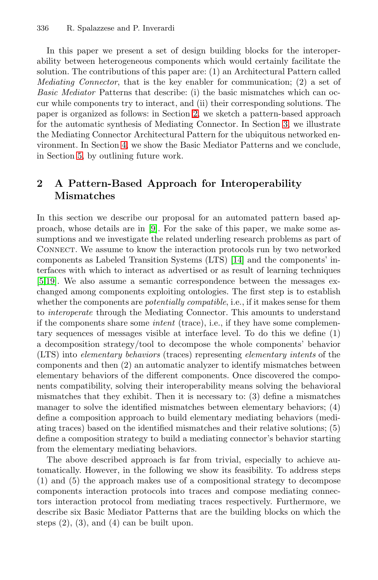In this paper we present a set of design building blocks for the interoperability between heterogeneous components which would certainly facilitate the solution. The contributions of this paper are: (1) an Architectural Pattern called *Mediating Connector*, that is the key enabler for communication; (2) a set of *Basic Mediator* Patterns that describe: (i) the basic mismatches which can occur while components try to interact, and (ii) their corresponding solutions. The paper is organized as follows: in Section 2, we sketch a pattern-based approach for the automatic synthesis of Mediating Connector. In Section 3, we illustrate the Mediating Connector Architectural Pattern for the ubiquitous networked environment. In Section 4, we show the Basic Mediator Patterns and we conclude, in Section 5, by outlining future work.

#### **2 A Pattern-Based Approach for Interoperability Mismatches**

In this section we describe our proposal for an automated pattern based approach, whose details are in [9]. For the sake of this paper, we make some assumptions and we investigate the related underling research problems as part of Connect. We assume to know the interaction protocols run by two networked components as Labeled Transition Systems (LTS) [14] and the components' interfaces with which to interact as advertised or as result of learning techniques [5,19]. We also assume a semantic correspondence between the messages exchanged among components exploiting ontologies. The first step is to establish whether the components are *potentially compatible*, i.e., if it makes sense for them to *interoperate* through the Mediating Connector. This amounts to understand if the components share some *intent* (trace), i.e., if they have some complementary sequences of messages visible at interface level. To do this we define (1) a decomposition strategy/tool to decompose the whole components' behavior (LTS) into *elementary behaviors* (traces) representing *elementary intents* of the components and then (2) an automatic analyzer to identify mismatches between elementary behaviors of the different components. Once discovered the components compatibility, solving their interoperability means solving the behavioral mismatches that they exhibit. Then it is necessary to: (3) define a mismatches manager to solve the identified mismatches between elementary behaviors; (4) define a composition approach to build elementary mediating behaviors (mediating traces) based on the identified mismatches and their relative solutions; (5) define a composition strategy to build a mediating connector's behavior starting from the elementary mediating behaviors.

The above described approach is far from trivial, especially to achieve automatically. However, in the following we show its feasibility. To address steps (1) and (5) the approach makes use of a compositional strategy to decompose components interaction protocols into traces and compose mediating connectors interaction protocol from mediating traces respectively. Furthermore, we describe six Basic Mediator Patterns that are the building blocks on which the steps  $(2)$ ,  $(3)$ , and  $(4)$  can be built upon.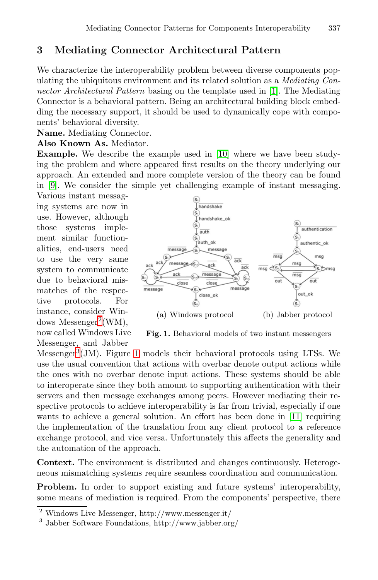#### **3 Mediating Connector Architectural Pattern**

We characterize the interoperability problem between diverse components populating the ubiquitous environment and its related solution as a *Mediating Connector Architectural Pattern* basing on the template used in [1]. The Mediating Connector is a behavioral pattern. Being an architectural building block embedding the necessary support, it should be used to dynamically cope with components' behavioral diversity.

**Name.** Mediating Connector.

#### **Also Known As.** Mediator.

**Example.** We describe the example used in [10] where we have been studying the problem and where appeared first results on the theory underlying our approach. An extended and more complete version of the theory can be found in [9]. We consider the simple yet challenging example of instant messaging.

Various instant messaging systems are now in use. However, although those systems implement similar functionalities, end-users need to use the very same system to communicate due to behavioral mismatches of the respective protocols. For instance, consider Windows Messenger<sup>2</sup>(WM), now called Windows Live Messenger, and Jabber



**Fig. 1.** Behavioral models of two instant messengers

Messenger<sup>3</sup>(JM). Figure 1 models their behavioral protocols using LTSs. We use the usual convention that actions with overbar denote output actions while the ones with no overbar denote input actions. These systems should be able to interoperate since they both amount to supporting authentication with their servers and then message exchanges among peers. However mediating their respective protocols to achieve interoperability is far from trivial, especially if one wants to achieve a general solution. An effort has been done in [11] requiring the implementation of the translation from any client protocol to a reference exchange protocol, and vice versa. Unfortunately this affects the generality and the automation of the approach.

**Context.** The environment is distributed and changes continuously. Heterogeneous mismatching systems require seamless coordination and communication.

**Problem.** In order to support existing and future systems' interoperability, some means of mediation is required. From the components' perspective, there

<sup>2</sup> Windows Live Messenger, http://www.messenger.it/

<sup>3</sup> Jabber Software Foundations, http://www.jabber.org/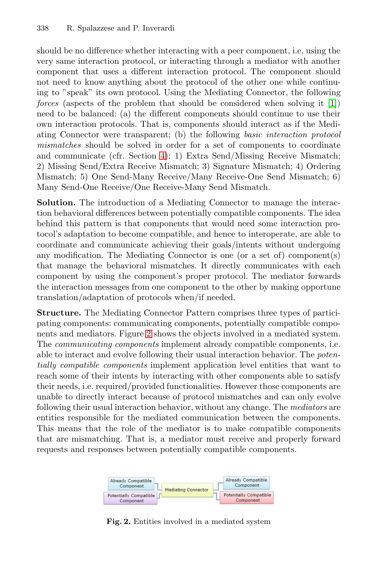should be no difference whether interacting with a peer component, i.e, using the very same interaction protocol, or interacting through a mediator with another component that uses a different interaction protocol. The component should not need to know anything about the protocol of the other one while continuing to "speak" its own protocol. Using the Mediating Connector, the following *forces* (aspects of the problem that should be considered when solving it [1]) need to be balanced: (a) the different components should continue to use their own interaction protocols. That is, components should interact as if the Mediating Connector were transparent; (b) the following *basic interaction protocol mismatches* should be solved in order for a set of components to coordinate and communicate (cfr. Section 4): 1) Extra Send/Missing Receive Mismatch; 2) Missing Send/Extra Receive Mismatch; 3) Signature Mismatch; 4) Ordering Mismatch; 5) One Send-Many Receive/Many Receive-One Send Mismatch; 6) Many Send-One Receive/One Receive-Many Send Mismatch.

**Solution.** The introduction of a Mediating Connector to manage the interaction behavioral differences between potentially compatible components. The idea behind this pattern is that components that would need some interaction protocol's adaptation to become compatible, and hence to interoperate, are able to coordinate and communicate achieving their goals/intents without undergoing any modification. The Mediating Connector is one (or a set of) component(s) that manage the behavioral mismatches. It directly communicates with each component by using the component's proper protocol. The mediator forwards the interaction messages from one component to the other by making opportune translation/adaptation of protocols when/if needed.

**Structure.** The Mediating Connector Pattern comprises three types of participating components: communicating components, potentially compatible components and mediators. Figure 2 shows the objects involved in a mediated system. The *communicating components* implement already compatible components, i.e. able to interact and evolve following their usual interaction behavior. The *potentially compatible components* implement application level entities that want to reach some of their intents by interacting with other components able to satisfy their needs, i.e. required/provided functionalities. However those components are unable to directly interact because of protocol mismatches and can only evolve following their usual interaction behavior, without any change. The *mediators* are entities responsible for the mediated communication between the components. This means that the role of the mediator is to make compatible components that are mismatching. That is, a mediator must receive and properly forward requests and responses between potentially compatible components.



**Fig. 2.** Entities involved in a mediated system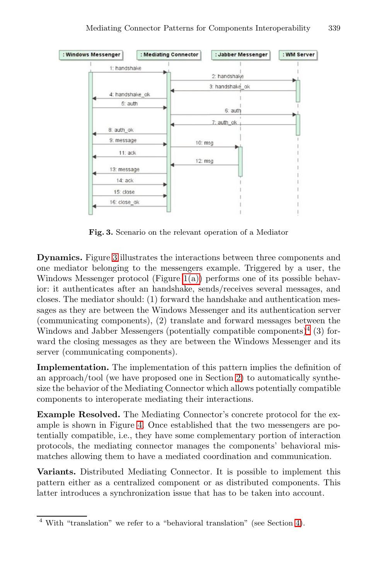

**Fig. 3.** Scenario on the relevant operation of a Mediator

**Dynamics.** Figure 3 illustrates the interactions between three components and one mediator belonging to the messengers example. Triggered by a user, the Windows Messenger protocol (Figure 1(a)) performs one of its possible behavior: it authenticates after an handshake, sends/receives several messages, and closes. The mediator should: (1) forward the handshake and authentication messages as they are between the Windows Messenger and its authentication server (communicating components), (2) translate and forward messages between the Windows and Jabber Messengers (potentially compatible components)<sup>4</sup> (3) forward the closing messages as they are between the Windows Messenger and its server (communicating components).

**Implementation.** The implementation of this pattern implies the definition of an approach/tool (we have proposed one in Section 2) to automatically synthesize the behavior of the Mediating Connector which allows potentially compatible components to interoperate mediating their interactions.

**Example Resolved.** The Mediating Connector's concrete protocol for the example is shown in Figure 4. Once established that the two messengers are potentially compatible, i.e., they have some complementary portion of interaction protocols, the mediating connector manages the components' behavioral mismatches allowing them to have a mediated coordination and communication.

**Variants.** Distributed Mediating Connector. It is possible to implement this pattern either as a centralized component or as distributed components. This latter introduces a synchronization issue that has to be taken into account.

<sup>4</sup> With "translation" we refer to a "behavioral translation" (see Section 4).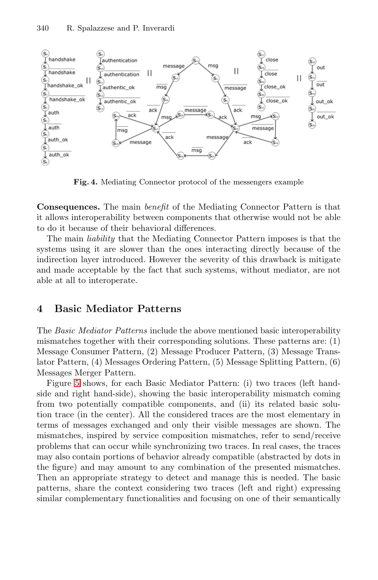

**Fig. 4.** Mediating Connector protocol of the messengers example

**Consequences.** The main *benefit* of the Mediating Connector Pattern is that it allows interoperability between components that otherwise would not be able to do it because of their behavioral differences.

The main *liability* that the Mediating Connector Pattern imposes is that the systems using it are slower than the ones interacting directly because of the indirection layer introduced. However the severity of this drawback is mitigate and made acceptable by the fact that such systems, without mediator, are not able at all to interoperate.

#### **4 Basic Mediator Patterns**

The *Basic Mediator Patterns* include the above mentioned basic interoperability mismatches together with their corresponding solutions. These patterns are: (1) Message Consumer Pattern, (2) Message Producer Pattern, (3) Message Translator Pattern, (4) Messages Ordering Pattern, (5) Message Splitting Pattern, (6) Messages Merger Pattern.

Figure 5 shows, for each Basic Mediator Pattern: (i) two traces (left handside and right hand-side), showing the basic interoperability mismatch coming from two potentially compatible components, and (ii) its related basic solution trace (in the center). All the considered traces are the most elementary in terms of messages exchanged and only their visible messages are shown. The mismatches, inspired by service composition mismatches, refer to send/receive problems that can occur while synchronizing two traces. In real cases, the traces may also contain portions of behavior already compatible (abstracted by dots in the figure) and may amount to any combination of the presented mismatches. Then an appropriate strategy to detect and manage this is needed. The basic patterns, share the context considering two traces (left and right) expressing similar complementary functionalities and focusing on one of their semantically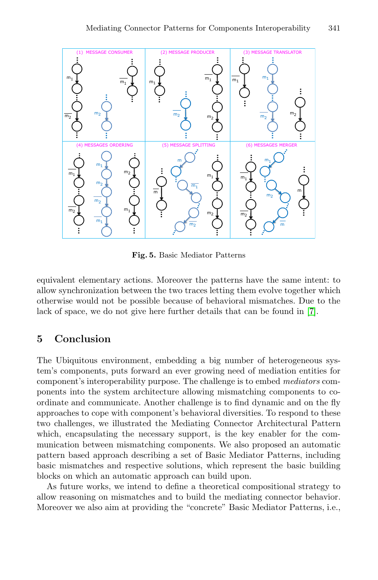

**Fig. 5.** Basic Mediator Patterns

equivalent elementary actions. Moreover the patterns have the same intent: to allow synchronization between the two traces letting them evolve together which otherwise would not be possible because of behavioral mismatches. Due to the lack of space, we do not give here further details that can be found in [7].

#### **5 Conclusion**

The Ubiquitous environment, embedding a big number of heterogeneous system's components, puts forward an ever growing need of mediation entities for component's interoperability purpose. The challenge is to embed *mediators* components into the system architecture allowing mismatching components to coordinate and communicate. Another challenge is to find dynamic and on the fly approaches to cope with component's behavioral diversities. To respond to these two challenges, we illustrated the Mediating Connector Architectural Pattern which, encapsulating the necessary support, is the key enabler for the communication between mismatching components. We also proposed an automatic pattern based approach describing a set of Basic Mediator Patterns, including basic mismatches and respective solutions, which represent the basic building blocks on which an automatic approach can build upon.

As future works, we intend to define a theoretical compositional strategy to allow reasoning on mismatches and to build the mediating connector behavior. Moreover we also aim at providing the "concrete" Basic Mediator Patterns, i.e.,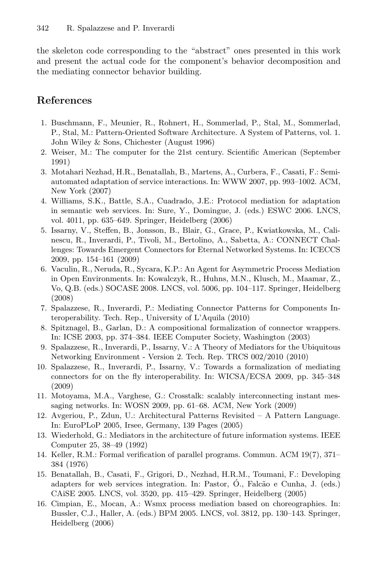the skeleton code corresponding to the "abstract" ones presented in this work and present the actual code for the component's behavior decomposition and the mediating connector behavior building.

### **References**

- 1. Buschmann, F., Meunier, R., Rohnert, H., Sommerlad, P., Stal, M., Sommerlad, P., Stal, M.: Pattern-Oriented Software Architecture. A System of Patterns, vol. 1. John Wiley & Sons, Chichester (August 1996)
- 2. Weiser, M.: The computer for the 21st century. Scientific American (September 1991)
- 3. Motahari Nezhad, H.R., Benatallah, B., Martens, A., Curbera, F., Casati, F.: Semiautomated adaptation of service interactions. In: WWW 2007, pp. 993–1002. ACM, New York (2007)
- 4. Williams, S.K., Battle, S.A., Cuadrado, J.E.: Protocol mediation for adaptation in semantic web services. In: Sure, Y., Domingue, J. (eds.) ESWC 2006. LNCS, vol. 4011, pp. 635–649. Springer, Heidelberg (2006)
- 5. Issarny, V., Steffen, B., Jonsson, B., Blair, G., Grace, P., Kwiatkowska, M., Calinescu, R., Inverardi, P., Tivoli, M., Bertolino, A., Sabetta, A.: CONNECT Challenges: Towards Emergent Connectors for Eternal Networked Systems. In: ICECCS 2009, pp. 154–161 (2009)
- 6. Vaculin, R., Neruda, R., Sycara, K.P.: An Agent for Asymmetric Process Mediation in Open Environments. In: Kowalczyk, R., Huhns, M.N., Klusch, M., Maamar, Z., Vo, Q.B. (eds.) SOCASE 2008. LNCS, vol. 5006, pp. 104–117. Springer, Heidelberg (2008)
- 7. Spalazzese, R., Inverardi, P.: Mediating Connector Patterns for Components Interoperability. Tech. Rep., University of L'Aquila (2010)
- 8. Spitznagel, B., Garlan, D.: A compositional formalization of connector wrappers. In: ICSE 2003, pp. 374–384. IEEE Computer Society, Washington (2003)
- 9. Spalazzese, R., Inverardi, P., Issarny, V.: A Theory of Mediators for the Ubiquitous Networking Environment - Version 2. Tech. Rep. TRCS 002/2010 (2010)
- 10. Spalazzese, R., Inverardi, P., Issarny, V.: Towards a formalization of mediating connectors for on the fly interoperability. In: WICSA/ECSA 2009, pp. 345–348 (2009)
- 11. Motoyama, M.A., Varghese, G.: Crosstalk: scalably interconnecting instant messaging networks. In: WOSN 2009, pp. 61–68. ACM, New York (2009)
- 12. Avgeriou, P., Zdun, U.: Architectural Patterns Revisited A Pattern Language. In: EuroPLoP 2005, Irsee, Germany, 139 Pages (2005)
- 13. Wiederhold, G.: Mediators in the architecture of future information systems. IEEE Computer 25, 38–49 (1992)
- 14. Keller, R.M.: Formal verification of parallel programs. Commun. ACM 19(7), 371– 384 (1976)
- 15. Benatallah, B., Casati, F., Grigori, D., Nezhad, H.R.M., Toumani, F.: Developing adapters for web services integration. In: Pastor,  $\acute{O}$ ., Falcão e Cunha, J. (eds.) CAiSE 2005. LNCS, vol. 3520, pp. 415–429. Springer, Heidelberg (2005)
- 16. Cimpian, E., Mocan, A.: Wsmx process mediation based on choreographies. In: Bussler, C.J., Haller, A. (eds.) BPM 2005. LNCS, vol. 3812, pp. 130–143. Springer, Heidelberg (2006)